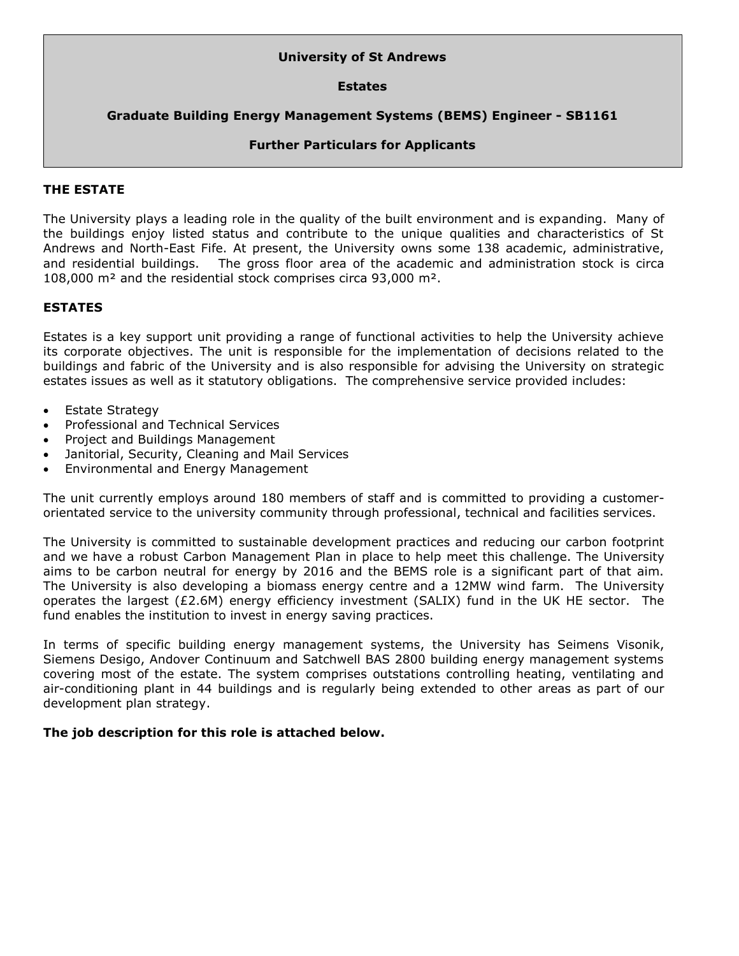# **University of St Andrews**

# **Estates**

# **Graduate Building Energy Management Systems (BEMS) Engineer - SB1161**

# **Further Particulars for Applicants**

# **THE ESTATE**

The University plays a leading role in the quality of the built environment and is expanding. Many of the buildings enjoy listed status and contribute to the unique qualities and characteristics of St Andrews and North-East Fife. At present, the University owns some 138 academic, administrative, and residential buildings. The gross floor area of the academic and administration stock is circa 108,000 m² and the residential stock comprises circa 93,000 m².

## **ESTATES**

Estates is a key support unit providing a range of functional activities to help the University achieve its corporate objectives. The unit is responsible for the implementation of decisions related to the buildings and fabric of the University and is also responsible for advising the University on strategic estates issues as well as it statutory obligations. The comprehensive service provided includes:

- Estate Strategy
- Professional and Technical Services
- Project and Buildings Management
- Janitorial, Security, Cleaning and Mail Services
- Environmental and Energy Management

The unit currently employs around 180 members of staff and is committed to providing a customerorientated service to the university community through professional, technical and facilities services.

The University is committed to sustainable development practices and reducing our carbon footprint and we have a robust Carbon Management Plan in place to help meet this challenge. The University aims to be carbon neutral for energy by 2016 and the BEMS role is a significant part of that aim. The University is also developing a biomass energy centre and a 12MW wind farm. The University operates the largest ( $£2.6M$ ) energy efficiency investment (SALIX) fund in the UK HE sector. The fund enables the institution to invest in energy saving practices.

In terms of specific building energy management systems, the University has Seimens Visonik, Siemens Desigo, Andover Continuum and Satchwell BAS 2800 building energy management systems covering most of the estate. The system comprises outstations controlling heating, ventilating and air-conditioning plant in 44 buildings and is regularly being extended to other areas as part of our development plan strategy.

# **The job description for this role is attached below.**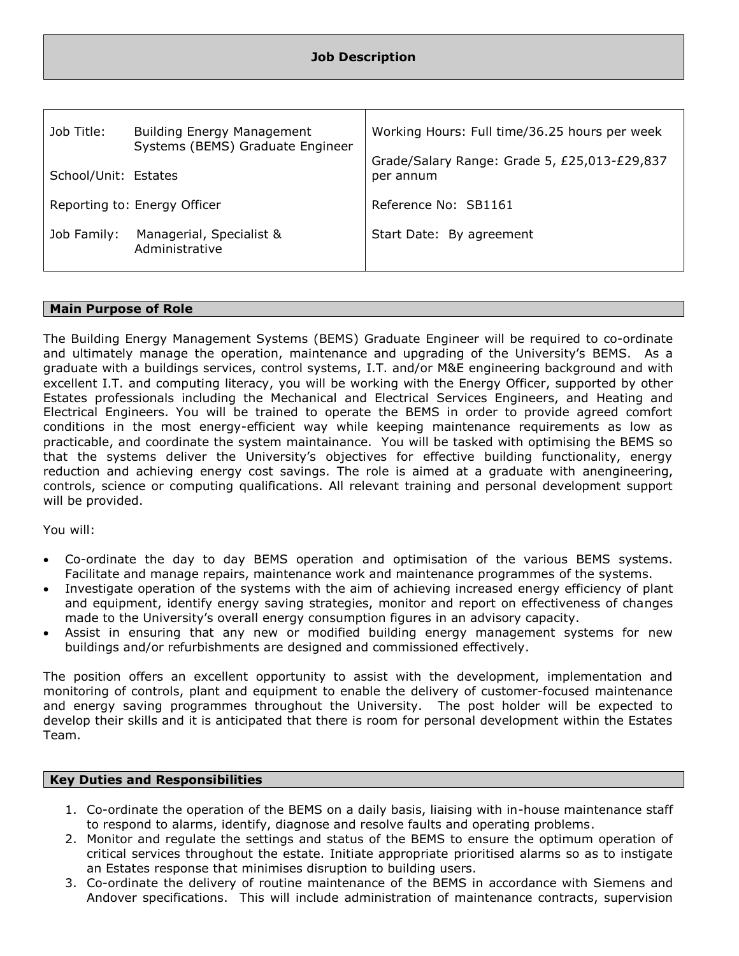| Job Title:                   | <b>Building Energy Management</b><br>Systems (BEMS) Graduate Engineer | Working Hours: Full time/36.25 hours per week             |  |
|------------------------------|-----------------------------------------------------------------------|-----------------------------------------------------------|--|
| School/Unit: Estates         |                                                                       | Grade/Salary Range: Grade 5, £25,013-£29,837<br>per annum |  |
| Reporting to: Energy Officer |                                                                       | Reference No: SB1161                                      |  |
| Job Family:                  | Managerial, Specialist &<br>Administrative                            | Start Date: By agreement                                  |  |

## **Main Purpose of Role**

The Building Energy Management Systems (BEMS) Graduate Engineer will be required to co-ordinate and ultimately manage the operation, maintenance and upgrading of the University's BEMS. As a graduate with a buildings services, control systems, I.T. and/or M&E engineering background and with excellent I.T. and computing literacy, you will be working with the Energy Officer, supported by other Estates professionals including the Mechanical and Electrical Services Engineers, and Heating and Electrical Engineers. You will be trained to operate the BEMS in order to provide agreed comfort conditions in the most energy-efficient way while keeping maintenance requirements as low as practicable, and coordinate the system maintainance. You will be tasked with optimising the BEMS so that the systems deliver the University's objectives for effective building functionality, energy reduction and achieving energy cost savings. The role is aimed at a graduate with anengineering, controls, science or computing qualifications. All relevant training and personal development support will be provided.

### You will:

- Co-ordinate the day to day BEMS operation and optimisation of the various BEMS systems. Facilitate and manage repairs, maintenance work and maintenance programmes of the systems.
- Investigate operation of the systems with the aim of achieving increased energy efficiency of plant and equipment, identify energy saving strategies, monitor and report on effectiveness of changes made to the University's overall energy consumption figures in an advisory capacity.
- Assist in ensuring that any new or modified building energy management systems for new buildings and/or refurbishments are designed and commissioned effectively.

The position offers an excellent opportunity to assist with the development, implementation and monitoring of controls, plant and equipment to enable the delivery of customer-focused maintenance and energy saving programmes throughout the University. The post holder will be expected to develop their skills and it is anticipated that there is room for personal development within the Estates Team.

### **Key Duties and Responsibilities**

- 1. Co-ordinate the operation of the BEMS on a daily basis, liaising with in-house maintenance staff to respond to alarms, identify, diagnose and resolve faults and operating problems.
- 2. Monitor and regulate the settings and status of the BEMS to ensure the optimum operation of critical services throughout the estate. Initiate appropriate prioritised alarms so as to instigate an Estates response that minimises disruption to building users.
- 3. Co-ordinate the delivery of routine maintenance of the BEMS in accordance with Siemens and Andover specifications. This will include administration of maintenance contracts, supervision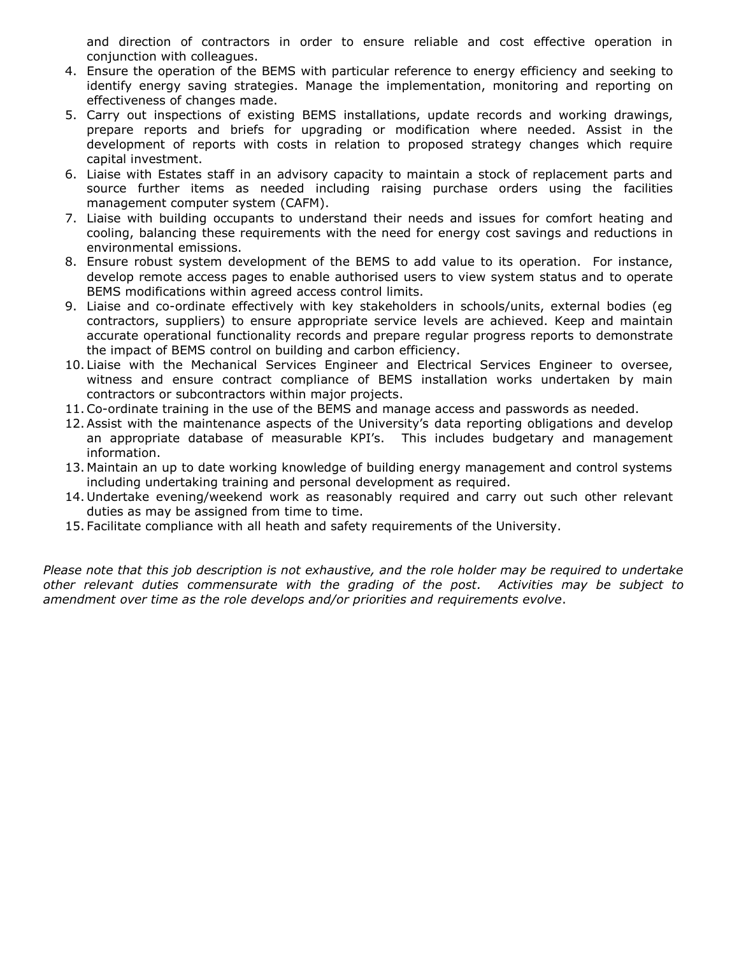and direction of contractors in order to ensure reliable and cost effective operation in conjunction with colleagues.

- 4. Ensure the operation of the BEMS with particular reference to energy efficiency and seeking to identify energy saving strategies. Manage the implementation, monitoring and reporting on effectiveness of changes made.
- 5. Carry out inspections of existing BEMS installations, update records and working drawings, prepare reports and briefs for upgrading or modification where needed. Assist in the development of reports with costs in relation to proposed strategy changes which require capital investment.
- 6. Liaise with Estates staff in an advisory capacity to maintain a stock of replacement parts and source further items as needed including raising purchase orders using the facilities management computer system (CAFM).
- 7. Liaise with building occupants to understand their needs and issues for comfort heating and cooling, balancing these requirements with the need for energy cost savings and reductions in environmental emissions.
- 8. Ensure robust system development of the BEMS to add value to its operation. For instance, develop remote access pages to enable authorised users to view system status and to operate BEMS modifications within agreed access control limits.
- 9. Liaise and co-ordinate effectively with key stakeholders in schools/units, external bodies (eg contractors, suppliers) to ensure appropriate service levels are achieved. Keep and maintain accurate operational functionality records and prepare regular progress reports to demonstrate the impact of BEMS control on building and carbon efficiency.
- 10. Liaise with the Mechanical Services Engineer and Electrical Services Engineer to oversee, witness and ensure contract compliance of BEMS installation works undertaken by main contractors or subcontractors within major projects.
- 11.Co-ordinate training in the use of the BEMS and manage access and passwords as needed.
- 12.Assist with the maintenance aspects of the University's data reporting obligations and develop an appropriate database of measurable KPI's. This includes budgetary and management information.
- 13. Maintain an up to date working knowledge of building energy management and control systems including undertaking training and personal development as required.
- 14. Undertake evening/weekend work as reasonably required and carry out such other relevant duties as may be assigned from time to time.
- 15. Facilitate compliance with all heath and safety requirements of the University.

*Please note that this job description is not exhaustive, and the role holder may be required to undertake other relevant duties commensurate with the grading of the post. Activities may be subject to amendment over time as the role develops and/or priorities and requirements evolve*.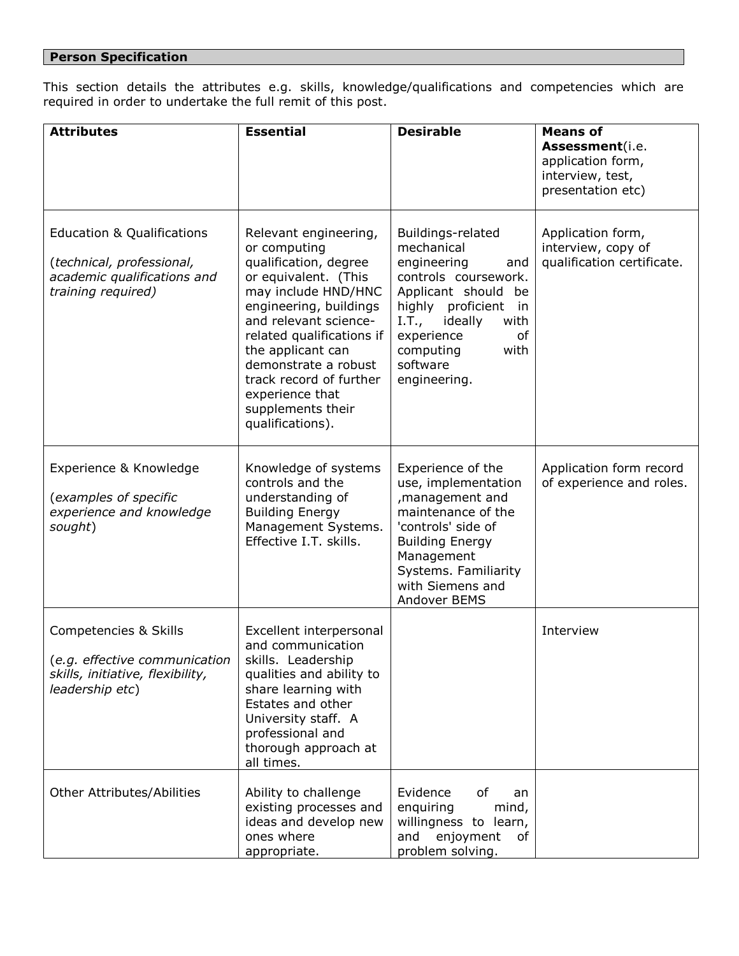# **Person Specification**

This section details the attributes e.g. skills, knowledge/qualifications and competencies which are required in order to undertake the full remit of this post.

| <b>Attributes</b>                                                                                                       | <b>Essential</b>                                                                                                                                                                                                                                                                                                                  | <b>Desirable</b>                                                                                                                                                                                                                 | <b>Means of</b><br>Assessment(i.e.<br>application form,<br>interview, test,<br>presentation etc) |
|-------------------------------------------------------------------------------------------------------------------------|-----------------------------------------------------------------------------------------------------------------------------------------------------------------------------------------------------------------------------------------------------------------------------------------------------------------------------------|----------------------------------------------------------------------------------------------------------------------------------------------------------------------------------------------------------------------------------|--------------------------------------------------------------------------------------------------|
| <b>Education &amp; Qualifications</b><br>(technical, professional,<br>academic qualifications and<br>training required) | Relevant engineering,<br>or computing<br>qualification, degree<br>or equivalent. (This<br>may include HND/HNC<br>engineering, buildings<br>and relevant science-<br>related qualifications if<br>the applicant can<br>demonstrate a robust<br>track record of further<br>experience that<br>supplements their<br>qualifications). | Buildings-related<br>mechanical<br>engineering<br>and<br>controls coursework.<br>Applicant should be<br>highly proficient<br>in<br>ideally<br>I.T.,<br>with<br>experience<br>of<br>computing<br>with<br>software<br>engineering. | Application form,<br>interview, copy of<br>qualification certificate.                            |
| Experience & Knowledge<br>(examples of specific<br>experience and knowledge<br>sought)                                  | Knowledge of systems<br>controls and the<br>understanding of<br><b>Building Energy</b><br>Management Systems.<br>Effective I.T. skills.                                                                                                                                                                                           | Experience of the<br>use, implementation<br>, management and<br>maintenance of the<br>'controls' side of<br><b>Building Energy</b><br>Management<br>Systems. Familiarity<br>with Siemens and<br>Andover BEMS                     | Application form record<br>of experience and roles.                                              |
| Competencies & Skills<br>(e.g. effective communication<br>skills, initiative, flexibility,<br>leadership etc)           | Excellent interpersonal<br>and communication<br>skills. Leadership<br>qualities and ability to<br>share learning with<br>Estates and other<br>University staff. A<br>professional and<br>thorough approach at<br>all times.                                                                                                       |                                                                                                                                                                                                                                  | Interview                                                                                        |
| <b>Other Attributes/Abilities</b>                                                                                       | Ability to challenge<br>existing processes and<br>ideas and develop new<br>ones where<br>appropriate.                                                                                                                                                                                                                             | Evidence<br>of<br>an<br>enquiring<br>mind,<br>willingness to learn,<br>enjoyment<br>and<br>of<br>problem solving.                                                                                                                |                                                                                                  |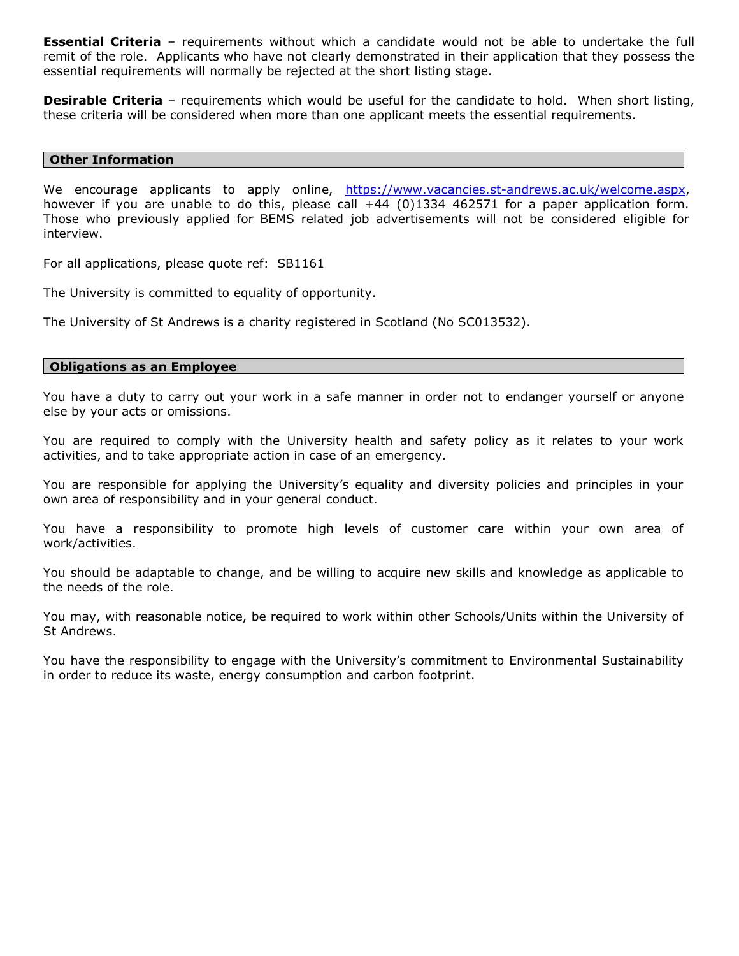**Essential Criteria** – requirements without which a candidate would not be able to undertake the full remit of the role. Applicants who have not clearly demonstrated in their application that they possess the essential requirements will normally be rejected at the short listing stage.

**Desirable Criteria** – requirements which would be useful for the candidate to hold. When short listing, these criteria will be considered when more than one applicant meets the essential requirements.

### **Other Information**

We encourage applicants to apply online, [https://www.vacancies.st-andrews.ac.uk/welcome.aspx,](https://www.vacancies.st-andrews.ac.uk/welcome.aspx) however if you are unable to do this, please call +44 (0)1334 462571 for a paper application form. Those who previously applied for BEMS related job advertisements will not be considered eligible for interview.

For all applications, please quote ref: SB1161

The University is committed to equality of opportunity.

The University of St Andrews is a charity registered in Scotland (No SC013532).

#### **Obligations as an Employee**

You have a duty to carry out your work in a safe manner in order not to endanger yourself or anyone else by your acts or omissions.

You are required to comply with the University health and safety policy as it relates to your work activities, and to take appropriate action in case of an emergency.

You are responsible for applying the University's equality and diversity policies and principles in your own area of responsibility and in your general conduct.

You have a responsibility to promote high levels of customer care within your own area of work/activities.

You should be adaptable to change, and be willing to acquire new skills and knowledge as applicable to the needs of the role.

You may, with reasonable notice, be required to work within other Schools/Units within the University of St Andrews.

You have the responsibility to engage with the University's commitment to Environmental Sustainability in order to reduce its waste, energy consumption and carbon footprint.